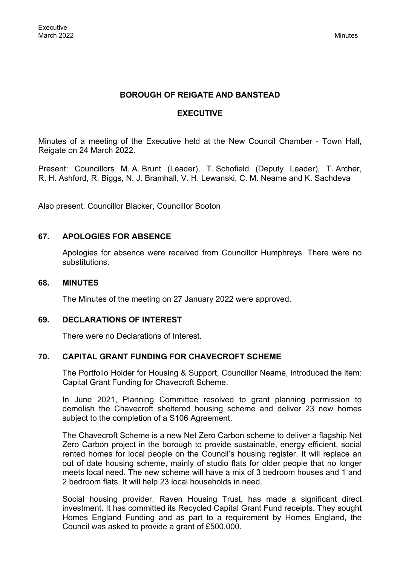## **BOROUGH OF REIGATE AND BANSTEAD**

## **EXECUTIVE**

Minutes of a meeting of the Executive held at the New Council Chamber - Town Hall, Reigate on 24 March 2022.

Present: Councillors M. A. Brunt (Leader), T. Schofield (Deputy Leader), T. Archer, R. H. Ashford, R. Biggs, N. J. Bramhall, V. H. Lewanski, C. M. Neame and K. Sachdeva

Also present: Councillor Blacker, Councillor Booton

## **67. APOLOGIES FOR ABSENCE**

Apologies for absence were received from Councillor Humphreys. There were no substitutions.

#### **68. MINUTES**

The Minutes of the meeting on 27 January 2022 were approved.

## **69. DECLARATIONS OF INTEREST**

There were no Declarations of Interest.

## **70. CAPITAL GRANT FUNDING FOR CHAVECROFT SCHEME**

The Portfolio Holder for Housing & Support, Councillor Neame, introduced the item: Capital Grant Funding for Chavecroft Scheme.

In June 2021, Planning Committee resolved to grant planning permission to demolish the Chavecroft sheltered housing scheme and deliver 23 new homes subject to the completion of a S106 Agreement.

The Chavecroft Scheme is a new Net Zero Carbon scheme to deliver a flagship Net Zero Carbon project in the borough to provide sustainable, energy efficient, social rented homes for local people on the Council's housing register. It will replace an out of date housing scheme, mainly of studio flats for older people that no longer meets local need. The new scheme will have a mix of 3 bedroom houses and 1 and 2 bedroom flats. It will help 23 local households in need.

Social housing provider, Raven Housing Trust, has made a significant direct investment. It has committed its Recycled Capital Grant Fund receipts. They sought Homes England Funding and as part to a requirement by Homes England, the Council was asked to provide a grant of £500,000.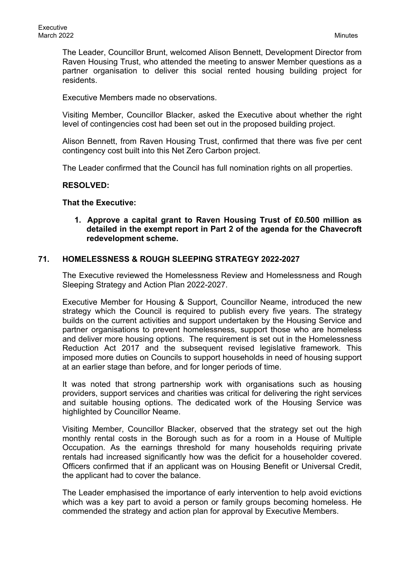The Leader, Councillor Brunt, welcomed Alison Bennett, Development Director from Raven Housing Trust, who attended the meeting to answer Member questions as a partner organisation to deliver this social rented housing building project for residents.

Executive Members made no observations.

Visiting Member, Councillor Blacker, asked the Executive about whether the right level of contingencies cost had been set out in the proposed building project.

Alison Bennett, from Raven Housing Trust, confirmed that there was five per cent contingency cost built into this Net Zero Carbon project.

The Leader confirmed that the Council has full nomination rights on all properties.

#### **RESOLVED:**

#### **That the Executive:**

**1. Approve a capital grant to Raven Housing Trust of £0.500 million as detailed in the exempt report in Part 2 of the agenda for the Chavecroft redevelopment scheme.**

#### **71. HOMELESSNESS & ROUGH SLEEPING STRATEGY 2022-2027**

The Executive reviewed the Homelessness Review and Homelessness and Rough Sleeping Strategy and Action Plan 2022-2027.

Executive Member for Housing & Support, Councillor Neame, introduced the new strategy which the Council is required to publish every five years. The strategy builds on the current activities and support undertaken by the Housing Service and partner organisations to prevent homelessness, support those who are homeless and deliver more housing options. The requirement is set out in the Homelessness Reduction Act 2017 and the subsequent revised legislative framework. This imposed more duties on Councils to support households in need of housing support at an earlier stage than before, and for longer periods of time.

It was noted that strong partnership work with organisations such as housing providers, support services and charities was critical for delivering the right services and suitable housing options. The dedicated work of the Housing Service was highlighted by Councillor Neame.

Visiting Member, Councillor Blacker, observed that the strategy set out the high monthly rental costs in the Borough such as for a room in a House of Multiple Occupation. As the earnings threshold for many households requiring private rentals had increased significantly how was the deficit for a householder covered. Officers confirmed that if an applicant was on Housing Benefit or Universal Credit, the applicant had to cover the balance.

The Leader emphasised the importance of early intervention to help avoid evictions which was a key part to avoid a person or family groups becoming homeless. He commended the strategy and action plan for approval by Executive Members.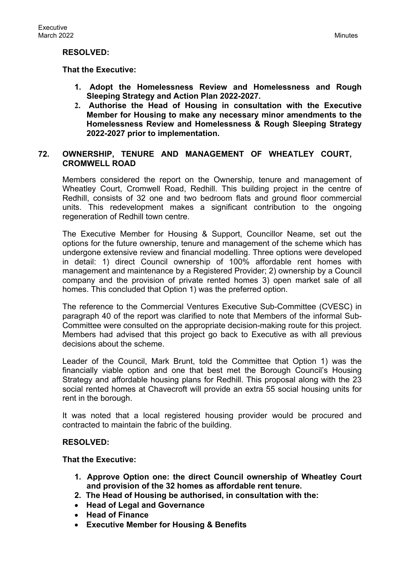### **RESOLVED:**

### **That the Executive:**

- **1. Adopt the Homelessness Review and Homelessness and Rough Sleeping Strategy and Action Plan 2022-2027.**
- **2. Authorise the Head of Housing in consultation with the Executive Member for Housing to make any necessary minor amendments to the Homelessness Review and Homelessness & Rough Sleeping Strategy 2022-2027 prior to implementation.**

## **72. OWNERSHIP, TENURE AND MANAGEMENT OF WHEATLEY COURT, CROMWELL ROAD**

Members considered the report on the Ownership, tenure and management of Wheatley Court, Cromwell Road, Redhill. This building project in the centre of Redhill, consists of 32 one and two bedroom flats and ground floor commercial units. This redevelopment makes a significant contribution to the ongoing regeneration of Redhill town centre.

The Executive Member for Housing & Support, Councillor Neame, set out the options for the future ownership, tenure and management of the scheme which has undergone extensive review and financial modelling. Three options were developed in detail: 1) direct Council ownership of 100% affordable rent homes with management and maintenance by a Registered Provider; 2) ownership by a Council company and the provision of private rented homes 3) open market sale of all homes. This concluded that Option 1) was the preferred option.

The reference to the Commercial Ventures Executive Sub-Committee (CVESC) in paragraph 40 of the report was clarified to note that Members of the informal Sub-Committee were consulted on the appropriate decision-making route for this project. Members had advised that this project go back to Executive as with all previous decisions about the scheme.

Leader of the Council, Mark Brunt, told the Committee that Option 1) was the financially viable option and one that best met the Borough Council's Housing Strategy and affordable housing plans for Redhill. This proposal along with the 23 social rented homes at Chavecroft will provide an extra 55 social housing units for rent in the borough.

It was noted that a local registered housing provider would be procured and contracted to maintain the fabric of the building.

#### **RESOLVED:**

**That the Executive:**

- **1. Approve Option one: the direct Council ownership of Wheatley Court and provision of the 32 homes as affordable rent tenure.**
- **2. The Head of Housing be authorised, in consultation with the:**
- **Head of Legal and Governance**
- **Head of Finance**
- **Executive Member for Housing & Benefits**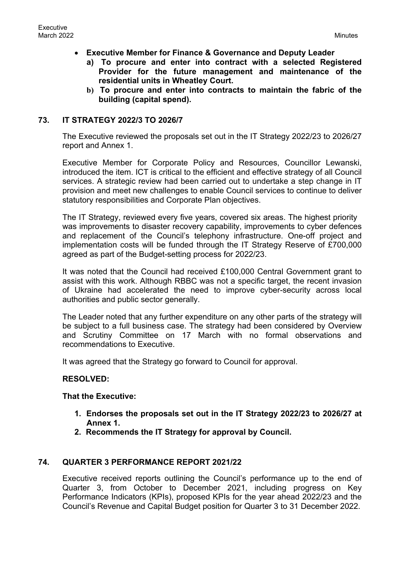- **Executive Member for Finance & Governance and Deputy Leader**
	- **a) To procure and enter into contract with a selected Registered Provider for the future management and maintenance of the residential units in Wheatley Court.**
	- **b) To procure and enter into contracts to maintain the fabric of the building (capital spend).**

# **73. IT STRATEGY 2022/3 TO 2026/7**

The Executive reviewed the proposals set out in the IT Strategy 2022/23 to 2026/27 report and Annex 1.

Executive Member for Corporate Policy and Resources, Councillor Lewanski, introduced the item. ICT is critical to the efficient and effective strategy of all Council services. A strategic review had been carried out to undertake a step change in IT provision and meet new challenges to enable Council services to continue to deliver statutory responsibilities and Corporate Plan objectives.

The IT Strategy, reviewed every five years, covered six areas. The highest priority was improvements to disaster recovery capability, improvements to cyber defences and replacement of the Council's telephony infrastructure. One-off project and implementation costs will be funded through the IT Strategy Reserve of £700,000 agreed as part of the Budget-setting process for 2022/23.

It was noted that the Council had received £100,000 Central Government grant to assist with this work. Although RBBC was not a specific target, the recent invasion of Ukraine had accelerated the need to improve cyber-security across local authorities and public sector generally.

The Leader noted that any further expenditure on any other parts of the strategy will be subject to a full business case. The strategy had been considered by Overview and Scrutiny Committee on 17 March with no formal observations and recommendations to Executive.

It was agreed that the Strategy go forward to Council for approval.

## **RESOLVED:**

## **That the Executive:**

- **1. Endorses the proposals set out in the IT Strategy 2022/23 to 2026/27 at Annex 1.**
- **2. Recommends the IT Strategy for approval by Council.**

# **74. QUARTER 3 PERFORMANCE REPORT 2021/22**

Executive received reports outlining the Council's performance up to the end of Quarter 3, from October to December 2021, including progress on Key Performance Indicators (KPIs), proposed KPIs for the year ahead 2022/23 and the Council's Revenue and Capital Budget position for Quarter 3 to 31 December 2022.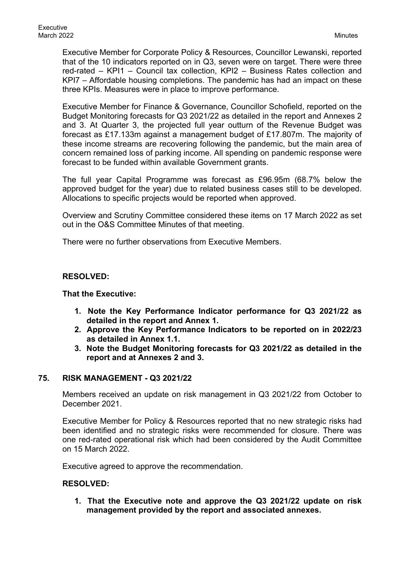Executive Member for Corporate Policy & Resources, Councillor Lewanski, reported that of the 10 indicators reported on in Q3, seven were on target. There were three red-rated – KPI1 – Council tax collection, KPI2 – Business Rates collection and KPI7 – Affordable housing completions. The pandemic has had an impact on these three KPIs. Measures were in place to improve performance.

Executive Member for Finance & Governance, Councillor Schofield, reported on the Budget Monitoring forecasts for Q3 2021/22 as detailed in the report and Annexes 2 and 3. At Quarter 3, the projected full year outturn of the Revenue Budget was forecast as £17.133m against a management budget of £17.807m. The majority of these income streams are recovering following the pandemic, but the main area of concern remained loss of parking income. All spending on pandemic response were forecast to be funded within available Government grants.

The full year Capital Programme was forecast as £96.95m (68.7% below the approved budget for the year) due to related business cases still to be developed. Allocations to specific projects would be reported when approved.

Overview and Scrutiny Committee considered these items on 17 March 2022 as set out in the O&S Committee Minutes of that meeting.

There were no further observations from Executive Members.

## **RESOLVED:**

#### **That the Executive:**

- **1. Note the Key Performance Indicator performance for Q3 2021/22 as detailed in the report and Annex 1.**
- **2. Approve the Key Performance Indicators to be reported on in 2022/23 as detailed in Annex 1.1.**
- **3. Note the Budget Monitoring forecasts for Q3 2021/22 as detailed in the report and at Annexes 2 and 3.**

## **75. RISK MANAGEMENT - Q3 2021/22**

Members received an update on risk management in Q3 2021/22 from October to December 2021.

Executive Member for Policy & Resources reported that no new strategic risks had been identified and no strategic risks were recommended for closure. There was one red-rated operational risk which had been considered by the Audit Committee on 15 March 2022.

Executive agreed to approve the recommendation.

#### **RESOLVED:**

**1. That the Executive note and approve the Q3 2021/22 update on risk management provided by the report and associated annexes.**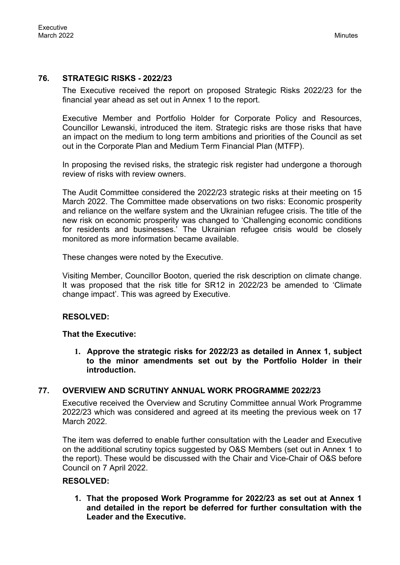# **76. STRATEGIC RISKS - 2022/23**

The Executive received the report on proposed Strategic Risks 2022/23 for the financial year ahead as set out in Annex 1 to the report.

Executive Member and Portfolio Holder for Corporate Policy and Resources, Councillor Lewanski, introduced the item. Strategic risks are those risks that have an impact on the medium to long term ambitions and priorities of the Council as set out in the Corporate Plan and Medium Term Financial Plan (MTFP).

In proposing the revised risks, the strategic risk register had undergone a thorough review of risks with review owners.

The Audit Committee considered the 2022/23 strategic risks at their meeting on 15 March 2022. The Committee made observations on two risks: Economic prosperity and reliance on the welfare system and the Ukrainian refugee crisis. The title of the new risk on economic prosperity was changed to 'Challenging economic conditions for residents and businesses.' The Ukrainian refugee crisis would be closely monitored as more information became available.

These changes were noted by the Executive.

Visiting Member, Councillor Booton, queried the risk description on climate change. It was proposed that the risk title for SR12 in 2022/23 be amended to 'Climate change impact'. This was agreed by Executive.

## **RESOLVED:**

#### **That the Executive:**

**1. Approve the strategic risks for 2022/23 as detailed in Annex 1, subject to the minor amendments set out by the Portfolio Holder in their introduction.**

## **77. OVERVIEW AND SCRUTINY ANNUAL WORK PROGRAMME 2022/23**

Executive received the Overview and Scrutiny Committee annual Work Programme 2022/23 which was considered and agreed at its meeting the previous week on 17 March 2022.

The item was deferred to enable further consultation with the Leader and Executive on the additional scrutiny topics suggested by O&S Members (set out in Annex 1 to the report). These would be discussed with the Chair and Vice-Chair of O&S before Council on 7 April 2022.

## **RESOLVED:**

**1. That the proposed Work Programme for 2022/23 as set out at Annex 1 and detailed in the report be deferred for further consultation with the Leader and the Executive.**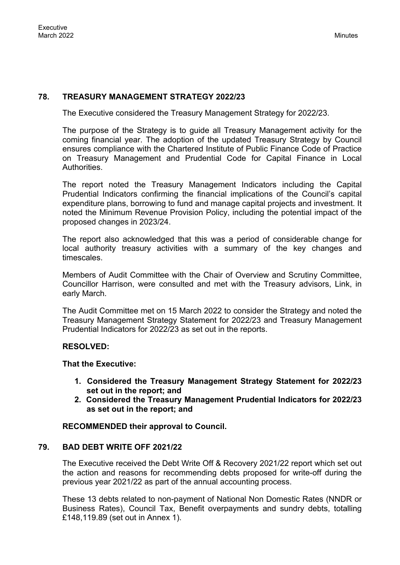# **78. TREASURY MANAGEMENT STRATEGY 2022/23**

The Executive considered the Treasury Management Strategy for 2022/23.

The purpose of the Strategy is to guide all Treasury Management activity for the coming financial year. The adoption of the updated Treasury Strategy by Council ensures compliance with the Chartered Institute of Public Finance Code of Practice on Treasury Management and Prudential Code for Capital Finance in Local **Authorities** 

The report noted the Treasury Management Indicators including the Capital Prudential Indicators confirming the financial implications of the Council's capital expenditure plans, borrowing to fund and manage capital projects and investment. It noted the Minimum Revenue Provision Policy, including the potential impact of the proposed changes in 2023/24.

The report also acknowledged that this was a period of considerable change for local authority treasury activities with a summary of the key changes and timescales.

Members of Audit Committee with the Chair of Overview and Scrutiny Committee, Councillor Harrison, were consulted and met with the Treasury advisors, Link, in early March.

The Audit Committee met on 15 March 2022 to consider the Strategy and noted the Treasury Management Strategy Statement for 2022/23 and Treasury Management Prudential Indicators for 2022/23 as set out in the reports.

## **RESOLVED:**

**That the Executive:**

- **1. Considered the Treasury Management Strategy Statement for 2022/23 set out in the report; and**
- **2. Considered the Treasury Management Prudential Indicators for 2022/23 as set out in the report; and**

## **RECOMMENDED their approval to Council.**

## **79. BAD DEBT WRITE OFF 2021/22**

The Executive received the Debt Write Off & Recovery 2021/22 report which set out the action and reasons for recommending debts proposed for write-off during the previous year 2021/22 as part of the annual accounting process.

These 13 debts related to non-payment of National Non Domestic Rates (NNDR or Business Rates), Council Tax, Benefit overpayments and sundry debts, totalling £148,119.89 (set out in Annex 1).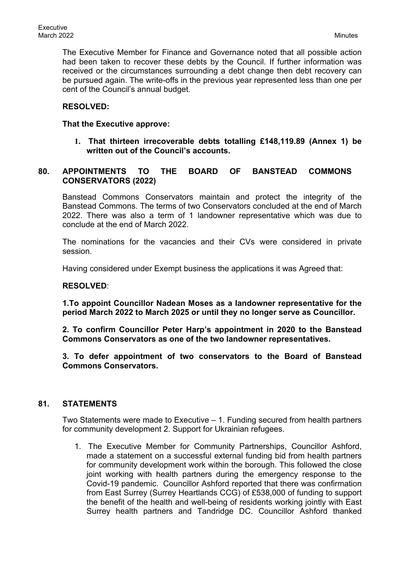The Executive Member for Finance and Governance noted that all possible action had been taken to recover these debts by the Council. If further information was received or the circumstances surrounding a debt change then debt recovery can be pursued again. The write-offs in the previous year represented less than one per cent of the Council's annual budget.

## **RESOLVED:**

## **That the Executive approve:**

**1. That thirteen irrecoverable debts totalling £148,119.89 (Annex 1) be written out of the Council's accounts.**

# **80. APPOINTMENTS TO THE BOARD OF BANSTEAD COMMONS CONSERVATORS (2022)**

Banstead Commons Conservators maintain and protect the integrity of the Banstead Commons. The terms of two Conservators concluded at the end of March 2022. There was also a term of 1 landowner representative which was due to conclude at the end of March 2022.

The nominations for the vacancies and their CVs were considered in private session.

Having considered under Exempt business the applications it was Agreed that:

#### **RESOLVED**:

**1.To appoint Councillor Nadean Moses as a landowner representative for the period March 2022 to March 2025 or until they no longer serve as Councillor.**

**2. To confirm Councillor Peter Harp's appointment in 2020 to the Banstead Commons Conservators as one of the two landowner representatives.**

**3. To defer appointment of two conservators to the Board of Banstead Commons Conservators.**

## **81. STATEMENTS**

Two Statements were made to Executive – 1. Funding secured from health partners for community development 2. Support for Ukrainian refugees.

1. The Executive Member for Community Partnerships, Councillor Ashford, made a statement on a successful external funding bid from health partners for community development work within the borough. This followed the close joint working with health partners during the emergency response to the Covid-19 pandemic. Councillor Ashford reported that there was confirmation from East Surrey (Surrey Heartlands CCG) of £538,000 of funding to support the benefit of the health and well-being of residents working jointly with East Surrey health partners and Tandridge DC. Councillor Ashford thanked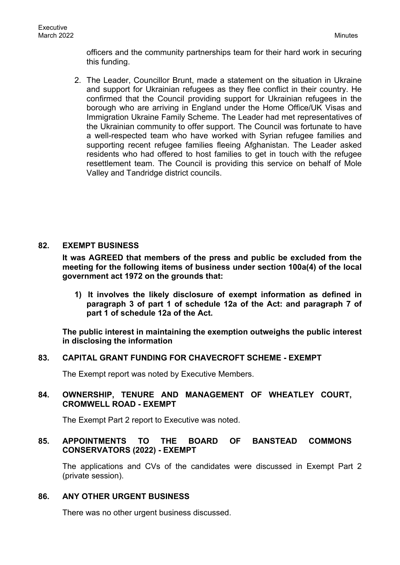officers and the community partnerships team for their hard work in securing this funding.

2. The Leader, Councillor Brunt, made a statement on the situation in Ukraine and support for Ukrainian refugees as they flee conflict in their country. He confirmed that the Council providing support for Ukrainian refugees in the borough who are arriving in England under the Home Office/UK Visas and Immigration Ukraine Family Scheme. The Leader had met representatives of the Ukrainian community to offer support. The Council was fortunate to have a well-respected team who have worked with Syrian refugee families and supporting recent refugee families fleeing Afghanistan. The Leader asked residents who had offered to host families to get in touch with the refugee resettlement team. The Council is providing this service on behalf of Mole Valley and Tandridge district councils.

# **82. EXEMPT BUSINESS**

**It was AGREED that members of the press and public be excluded from the meeting for the following items of business under section 100a(4) of the local government act 1972 on the grounds that:**

**1) It involves the likely disclosure of exempt information as defined in paragraph 3 of part 1 of schedule 12a of the Act: and paragraph 7 of part 1 of schedule 12a of the Act.**

**The public interest in maintaining the exemption outweighs the public interest in disclosing the information**

## **83. CAPITAL GRANT FUNDING FOR CHAVECROFT SCHEME - EXEMPT**

The Exempt report was noted by Executive Members.

# **84. OWNERSHIP, TENURE AND MANAGEMENT OF WHEATLEY COURT, CROMWELL ROAD - EXEMPT**

The Exempt Part 2 report to Executive was noted.

## **85. APPOINTMENTS TO THE BOARD OF BANSTEAD COMMONS CONSERVATORS (2022) - EXEMPT**

The applications and CVs of the candidates were discussed in Exempt Part 2 (private session).

#### **86. ANY OTHER URGENT BUSINESS**

There was no other urgent business discussed.